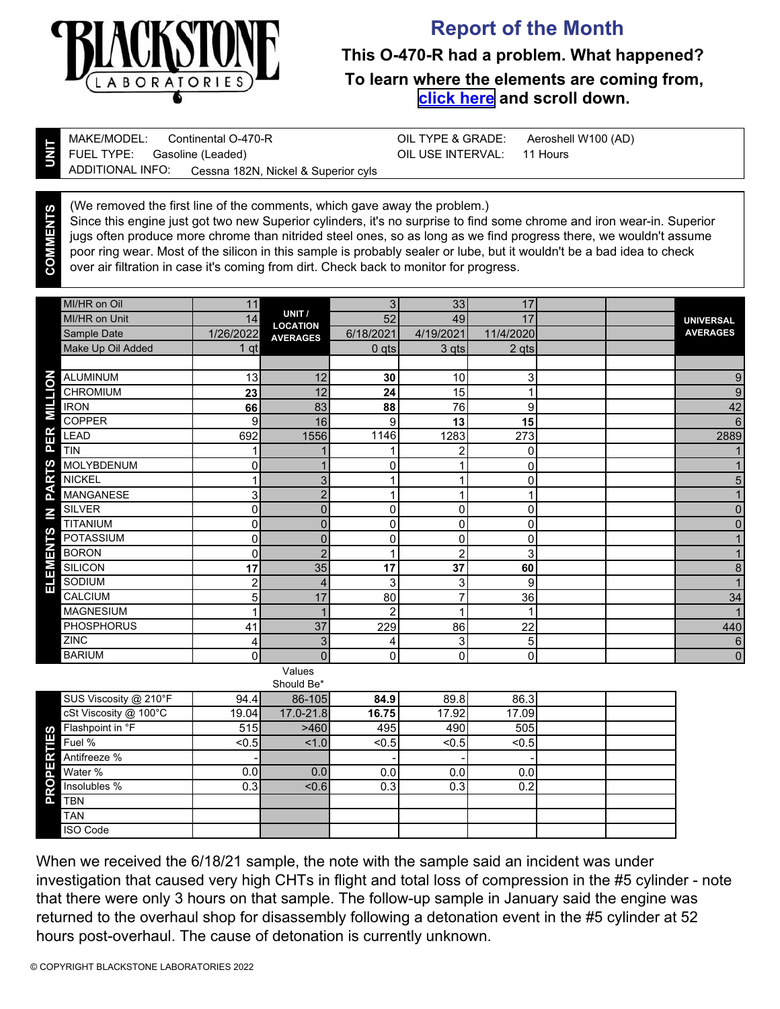

**COMMENTS**

## **Report of the Month**

**This O-470-R had a problem. What happened? To learn where the elements are coming from, [click here](https://www.blackstone-labs.com/wp-content/uploads/2019/01/Understanding-Aircraft-combined.pdf) and scroll down.**

| MAKE/MODEL: Continental O-470-R |                                                        | OIL TYPE & GRADE: Aeroshell W100 (AD) |  |
|---------------------------------|--------------------------------------------------------|---------------------------------------|--|
| FUEL TYPE: Gasoline (Leaded)    |                                                        | OIL USE INTERVAL: 11 Hours            |  |
|                                 | ▲ ADDITIONAL INFO: Cessna 182N, Nickel & Superior cyls |                                       |  |

(We removed the first line of the comments, which gave away the problem.) Since this engine just got two new Superior cylinders, it's no surprise to find some chrome and iron wear-in. Superior jugs often produce more chrome than nitrided steel ones, so as long as we find progress there, we wouldn't assume poor ring wear. Most of the silicon in this sample is probably sealer or lube, but it wouldn't be a bad idea to check over air filtration in case it's coming from dirt. Check back to monitor for progress.

|                 | MI/HR on Oil      | 11        |                                    | 3              | 33             | 17             |  |                  |
|-----------------|-------------------|-----------|------------------------------------|----------------|----------------|----------------|--|------------------|
|                 | MI/HR on Unit     | 14        | UNIT /                             | 52             | 49             | 17             |  | <b>UNIVERSAL</b> |
|                 | Sample Date       | 1/26/2022 | <b>LOCATION</b><br><b>AVERAGES</b> | 6/18/2021      | 4/19/2021      | 11/4/2020      |  | <b>AVERAGES</b>  |
|                 | Make Up Oil Added | $1$ qt    |                                    | $0$ qts        | 3 qts          | 2 qts          |  |                  |
|                 |                   |           |                                    |                |                |                |  |                  |
|                 | <b>ALUMINUM</b>   | 13        | 12                                 | 30             | 10             | 3 <sup>1</sup> |  | 9                |
|                 | <b>CHROMIUM</b>   | 23        | 12                                 | 24             | 15             |                |  | 9                |
| <b>MILLION</b>  | <b>IRON</b>       | 66        | 83                                 | 88             | 76             | 9              |  | 42               |
|                 | COPPER            | 9         | 16                                 | 9              | 13             | 15             |  | 6                |
| PER             | LEAD              | 692       | 1556                               | 1146           | 1283           | 273            |  | 2889             |
|                 | <b>TIN</b>        |           |                                    |                | 2              | 0              |  |                  |
| <b>RTS</b>      | MOLYBDENUM        | 0         |                                    | $\Omega$       |                | 0              |  |                  |
|                 | <b>NICKEL</b>     |           | 3                                  |                |                | 0              |  | 5                |
| ิฐ              | <b>MANGANESE</b>  | 3         | $\overline{2}$                     |                |                | 1              |  |                  |
| $\mathbf{z}$    | <b>SILVER</b>     | $\Omega$  | $\overline{0}$                     | $\mathbf{0}$   | $\mathbf 0$    | 0              |  | 0                |
|                 | TITANIUM          | 0         | 0                                  | 0              | 0              | 0              |  | 0                |
|                 | POTASSIUM         | $\Omega$  | 0                                  | $\overline{0}$ | $\Omega$       | $\mathbf 0$    |  |                  |
| <b>ELEMENTS</b> | <b>BORON</b>      | 0         | $\overline{2}$                     |                | $\overline{2}$ | 3              |  |                  |
|                 | <b>SILICON</b>    | 17        | 35                                 | 17             | 37             | 60             |  | 8                |
|                 | SODIUM            | 2         | 4                                  | 3              | 3              | 9              |  |                  |
|                 | <b>CALCIUM</b>    | 5         | 17                                 | 80             | 7              | 36             |  | 34               |
|                 | <b>MAGNESIUM</b>  |           |                                    | $\overline{2}$ |                | 1              |  |                  |
|                 | <b>PHOSPHORUS</b> | 41        | 37                                 | 229            | 86             | 22             |  | 440              |
|                 | ZINC              | 4         | 3                                  | 4              | 3              | 5              |  | $6\phantom{1}6$  |
|                 | <b>BARIUM</b>     | $\Omega$  | $\Omega$                           | 0              | $\mathbf{0}$   | 0              |  | $\mathbf 0$      |
|                 |                   |           | Values                             |                |                |                |  |                  |

| Should Be*             |                  |           |       |       |       |  |  |  |
|------------------------|------------------|-----------|-------|-------|-------|--|--|--|
| SUS Viscosity @ 210°F  | 94.4             | 86-105    | 84.9  | 89.8  | 86.3  |  |  |  |
| cSt Viscosity @ 100°C  | 19.04            | 17.0-21.8 | 16.75 | 17.92 | 17.09 |  |  |  |
| Flashpoint in °F<br>ဖာ | 515              | >460      | 495   | 490   | 505   |  |  |  |
| E<br>Fuel %            | $0.5$            | 1.0       | < 0.5 | < 0.5 | < 0.5 |  |  |  |
| Antifreeze %           |                  |           |       |       |       |  |  |  |
| 但<br>Water %           | 0.01             | 0.0       | 0.0   | 0.0   | 0.0   |  |  |  |
| O<br>Insolubles %<br>œ | 0.3 <sub>l</sub> | < 0.6     | 0.3   | 0.3   | 0.2   |  |  |  |
| <b>TBN</b>             |                  |           |       |       |       |  |  |  |
| <b>TAN</b>             |                  |           |       |       |       |  |  |  |
| <b>ISO Code</b>        |                  |           |       |       |       |  |  |  |

When we received the 6/18/21 sample, the note with the sample said an incident was under investigation that caused very high CHTs in flight and total loss of compression in the #5 cylinder - note that there were only 3 hours on that sample. The follow-up sample in January said the engine was returned to the overhaul shop for disassembly following a detonation event in the #5 cylinder at 52 hours post-overhaul. The cause of detonation is currently unknown.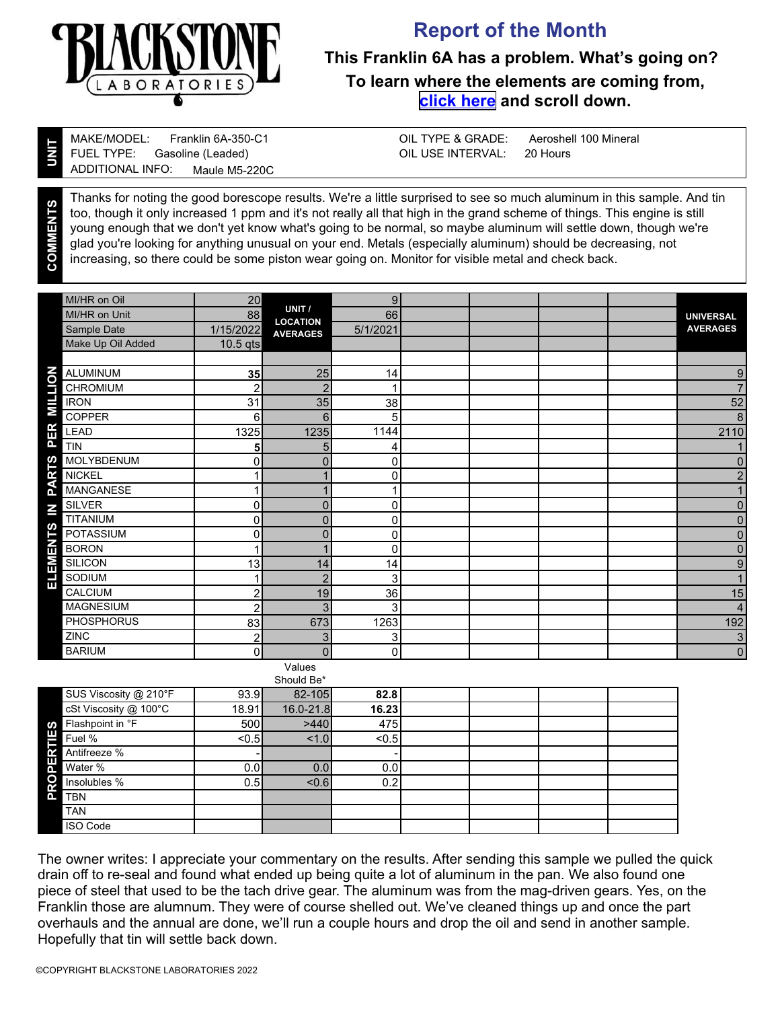

## **Report of the Month**

## **This Franklin 6A has a problem. What's going on? To learn where the elements are coming from, [click here](https://www.blackstone-labs.com/wp-content/uploads/2019/01/Understanding-Aircraft-combined.pdf) and scroll down.**

**UNIT**

**COMMENTS**

Gasoline (Leaded) Franklin 6A-350-C1 MAKE/MODEL: FUEL TYPE: ADDITIONAL INFO: Maule M5-220C

Aeroshell 100 Mineral 20 Hours OIL TYPE & GRADE: OIL USE INTERVAL:

Thanks for noting the good borescope results. We're a little surprised to see so much aluminum in this sample. And tin too, though it only increased 1 ppm and it's not really all that high in the grand scheme of things. This engine is still young enough that we don't yet know what's going to be normal, so maybe aluminum will settle down, though we're glad you're looking for anything unusual on your end. Metals (especially aluminum) should be decreasing, not increasing, so there could be some piston wear going on. Monitor for visible metal and check back.

| MI/HR on Oil                      | 20             |                           | 9        |  |                         |
|-----------------------------------|----------------|---------------------------|----------|--|-------------------------|
| <b>MI/HR on Unit</b>              | 88             | UNIT /<br><b>LOCATION</b> | 66       |  | <b>UNIVERSAL</b>        |
| Sample Date                       | 1/15/2022      | <b>AVERAGES</b>           | 5/1/2021 |  | <b>AVERAGES</b>         |
| Make Up Oil Added                 | $10.5$ qts     |                           |          |  |                         |
|                                   |                |                           |          |  |                         |
| <b>ALUMINUM</b>                   | 35             | 25                        | 14       |  | 9                       |
| <b>MILTION</b><br><b>CHROMIUM</b> | $\overline{2}$ | $\mathcal{P}$             |          |  | $\overline{7}$          |
| <b>IRON</b>                       | 31             | 35                        | 38       |  | 52                      |
| <b>COPPER</b>                     | 6              | 6                         | 5        |  | 8                       |
| ER<br><b>LEAD</b>                 | 1325           | 1235                      | 1144     |  | 2110                    |
| ā.<br><b>TIN</b>                  | 5              | 5                         | 4        |  |                         |
| MOLYBDENUM                        | 0              | $\overline{0}$            | 0        |  | $\mathbf 0$             |
| <b>PARTS</b><br><b>NICKEL</b>     | 1              |                           | 0        |  | $\overline{c}$          |
| <b>MANGANESE</b>                  | 1              |                           |          |  | 1                       |
| SILVER<br>$\geq$                  | 0              | $\overline{0}$            | 0        |  | $\overline{0}$          |
| <b>TITANIUM</b>                   | 0              | $\Omega$                  | 0        |  | $\mathbf 0$             |
| <b>ENTS</b><br>POTASSIUM          | 0              | $\overline{0}$            | 0        |  | $\overline{0}$          |
| <b>BORON</b>                      | 1              |                           | 0        |  | 0                       |
| ELEME<br><b>SILICON</b>           | 13             | 14                        | 14       |  | 9                       |
| SODIUM                            | 1              | 2                         | 3        |  | $\mathbf{1}$            |
| CALCIUM                           | 2              | 19                        | 36       |  | 15                      |
| <b>MAGNESIUM</b>                  | $\overline{c}$ | 3                         | 3        |  | $\overline{\mathbf{4}}$ |
| PHOSPHORUS                        | 83             | 673                       | 1263     |  | 192                     |
| ZINC                              | $\overline{c}$ | 3                         | 3        |  | $\overline{3}$          |
| <b>BARIUM</b>                     | 0              | $\Omega$                  | 0        |  | $\overline{0}$          |
|                                   |                | Values                    |          |  |                         |

|                                | Should Be* |           |       |  |  |  |  |  |  |  |
|--------------------------------|------------|-----------|-------|--|--|--|--|--|--|--|
| SUS Viscosity @ 210°F          | 93.9       | 82-105    | 82.8  |  |  |  |  |  |  |  |
| cSt Viscosity @ 100°C          | 18.91      | 16.0-21.8 | 16.23 |  |  |  |  |  |  |  |
| S Flashpoint in °F<br>■ Fuel % | 500l       | >440      | 475   |  |  |  |  |  |  |  |
| Fuel %                         | $0.5$      | 1.0       | < 0.5 |  |  |  |  |  |  |  |
|                                |            |           |       |  |  |  |  |  |  |  |
| Manufreeze %                   | 0.0        | 0.0       | 0.0   |  |  |  |  |  |  |  |
| <b>RO</b><br>Insolubles %      | 0.5        | 0.6       | 0.2   |  |  |  |  |  |  |  |
| <b>TBN</b>                     |            |           |       |  |  |  |  |  |  |  |
| <b>TAN</b>                     |            |           |       |  |  |  |  |  |  |  |
| <b>ISO Code</b>                |            |           |       |  |  |  |  |  |  |  |

The owner writes: I appreciate your commentary on the results. After sending this sample we pulled the quick drain off to re-seal and found what ended up being quite a lot of aluminum in the pan. We also found one piece of steel that used to be the tach drive gear. The aluminum was from the mag-driven gears. Yes, on the Franklin those are alumnum. They were of course shelled out. We've cleaned things up and once the part overhauls and the annual are done, we'll run a couple hours and drop the oil and send in another sample. Hopefully that tin will settle back down.